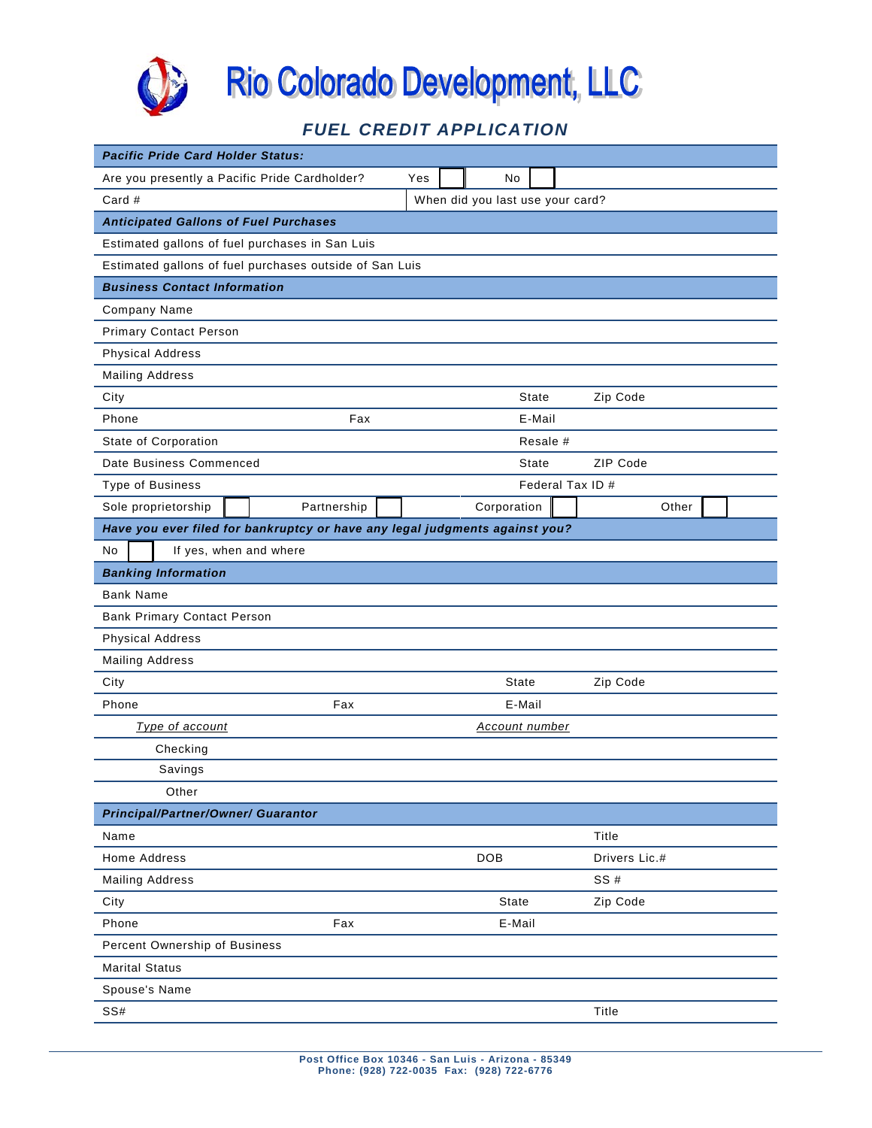

# *FUEL CREDIT APPLICATION*

| <b>Pacific Pride Card Holder Status:</b>        |                                                                             |     |             |          |                  |  |  |
|-------------------------------------------------|-----------------------------------------------------------------------------|-----|-------------|----------|------------------|--|--|
| Are you presently a Pacific Pride Cardholder?   |                                                                             | Yes | No          |          |                  |  |  |
| Card #                                          | When did you last use your card?                                            |     |             |          |                  |  |  |
| <b>Anticipated Gallons of Fuel Purchases</b>    |                                                                             |     |             |          |                  |  |  |
| Estimated gallons of fuel purchases in San Luis |                                                                             |     |             |          |                  |  |  |
|                                                 | Estimated gallons of fuel purchases outside of San Luis                     |     |             |          |                  |  |  |
| <b>Business Contact Information</b>             |                                                                             |     |             |          |                  |  |  |
| Company Name                                    |                                                                             |     |             |          |                  |  |  |
| <b>Primary Contact Person</b>                   |                                                                             |     |             |          |                  |  |  |
| <b>Physical Address</b>                         |                                                                             |     |             |          |                  |  |  |
| <b>Mailing Address</b>                          |                                                                             |     |             |          |                  |  |  |
| City                                            |                                                                             |     |             | State    | Zip Code         |  |  |
| Phone                                           | Fax                                                                         |     |             | E-Mail   |                  |  |  |
| State of Corporation                            |                                                                             |     |             | Resale # |                  |  |  |
| Date Business Commenced                         |                                                                             |     |             | State    | ZIP Code         |  |  |
| <b>Type of Business</b>                         |                                                                             |     |             |          | Federal Tax ID # |  |  |
| Sole proprietorship                             | Partnership                                                                 |     | Corporation |          | Other            |  |  |
|                                                 | Have you ever filed for bankruptcy or have any legal judgments against you? |     |             |          |                  |  |  |
| No<br>If yes, when and where                    |                                                                             |     |             |          |                  |  |  |
| <b>Banking Information</b>                      |                                                                             |     |             |          |                  |  |  |
| <b>Bank Name</b>                                |                                                                             |     |             |          |                  |  |  |
| <b>Bank Primary Contact Person</b>              |                                                                             |     |             |          |                  |  |  |
| <b>Physical Address</b>                         |                                                                             |     |             |          |                  |  |  |
| <b>Mailing Address</b>                          |                                                                             |     |             |          |                  |  |  |
| City                                            |                                                                             |     | State       |          | Zip Code         |  |  |
| Phone                                           | Fax                                                                         |     | E-Mail      |          |                  |  |  |
| Type of account                                 | <b>Account number</b>                                                       |     |             |          |                  |  |  |
| Checking                                        |                                                                             |     |             |          |                  |  |  |
| Savings                                         |                                                                             |     |             |          |                  |  |  |
| Other                                           |                                                                             |     |             |          |                  |  |  |
| <b>Principal/Partner/Owner/ Guarantor</b>       |                                                                             |     |             |          |                  |  |  |
| Name                                            |                                                                             |     |             |          | Title            |  |  |
| Home Address                                    |                                                                             |     | DOB         |          | Drivers Lic.#    |  |  |
| <b>Mailing Address</b>                          |                                                                             |     |             |          | SS#              |  |  |
| City                                            |                                                                             |     | State       |          | Zip Code         |  |  |
| Phone                                           | Fax                                                                         |     | E-Mail      |          |                  |  |  |
| Percent Ownership of Business                   |                                                                             |     |             |          |                  |  |  |
| <b>Marital Status</b>                           |                                                                             |     |             |          |                  |  |  |
| Spouse's Name                                   |                                                                             |     |             |          |                  |  |  |
| SS#                                             |                                                                             |     |             |          | Title            |  |  |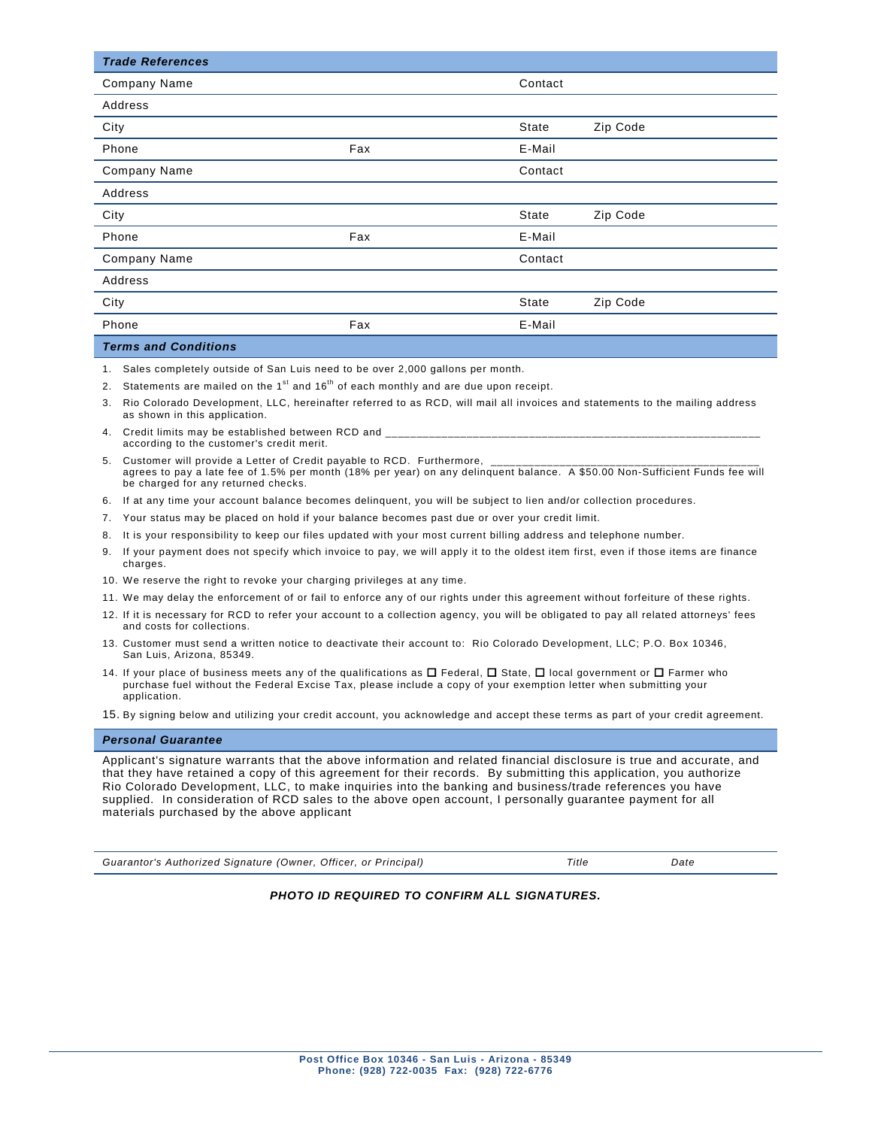| <b>Trade References</b> |     |         |          |
|-------------------------|-----|---------|----------|
| Company Name            |     | Contact |          |
| Address                 |     |         |          |
| City                    |     | State   | Zip Code |
| Phone                   | Fax | E-Mail  |          |
| <b>Company Name</b>     |     | Contact |          |
| Address                 |     |         |          |
| City                    |     | State   | Zip Code |
| Phone                   | Fax | E-Mail  |          |
| <b>Company Name</b>     |     | Contact |          |
| Address                 |     |         |          |
| City                    |     | State   | Zip Code |
| Phone                   | Fax | E-Mail  |          |
|                         |     |         |          |

#### *Terms and Conditions*

- 1. Sales completely outside of San Luis need to be over 2,000 gallons per month.
- 2. Statements are mailed on the  $1<sup>st</sup>$  and  $16<sup>th</sup>$  of each monthly and are due upon receipt.
- 3. Rio Colorado Development, LLC, hereinafter referred to as RCD, will mail all invoices and statements to the mailing address as shown in this application.
- 4. Credit limits may be established between RCD and according to the customer's credit merit.
- 5. Customer will provide a Letter of Credit payable to RCD. Furthermore, agrees to pay a late fee of 1.5% per month (18% per year) on any delinquent balance. A \$50.00 Non-Sufficient Funds fee will be charged for any returned checks.
- 6. If at any time your account balance becomes delinquent, you will be subject to lien and/or collection procedures.
- 7. Your status may be placed on hold if your balance becomes past due or over your credit limit.
- 8. It is your responsibility to keep our files updated with your most current billing address and telephone number.
- 9. If your payment does not specify which invoice to pay, we will apply it to the oldest item first, even if those items are finance charges.
- 10. We reserve the right to revoke your charging privileges at any time.
- 11. We may delay the enforcement of or fail to enforce any of our rights under this agreement without forfeiture of these rights.
- 12. If it is necessary for RCD to refer your account to a collection agency, you will be obligated to pay all related attorneys' fees and costs for collections.
- 13. Customer must send a written notice to deactivate their account to: Rio Colorado Development, LLC; P.O. Box 10346, San Luis, Arizona, 85349.
- 14. If your place of business meets any of the qualifications as  $\Box$  Federal,  $\Box$  State,  $\Box$  local government or  $\Box$  Farmer who purchase fuel without the Federal Excise Tax, please include a copy of your exemption letter when submitting your application.

15. By signing below and utilizing your credit account, you acknowledge and accept these terms as part of your credit agreement.

#### *Personal Guarantee*

Applicant's signature warrants that the above information and related financial disclosure is true and accurate, and that they have retained a copy of this agreement for their records. By submitting this application, you authorize Rio Colorado Development, LLC, to make inquiries into the banking and business/trade references you have supplied. In consideration of RCD sales to the above open account, I personally guarantee payment for all materials purchased by the above applicant

*Guarantor's Authorized Signature (Owner, Officer, or Principal) Title Date*

*PHOTO ID REQUIRED TO CONFIRM ALL SIGNATURES.*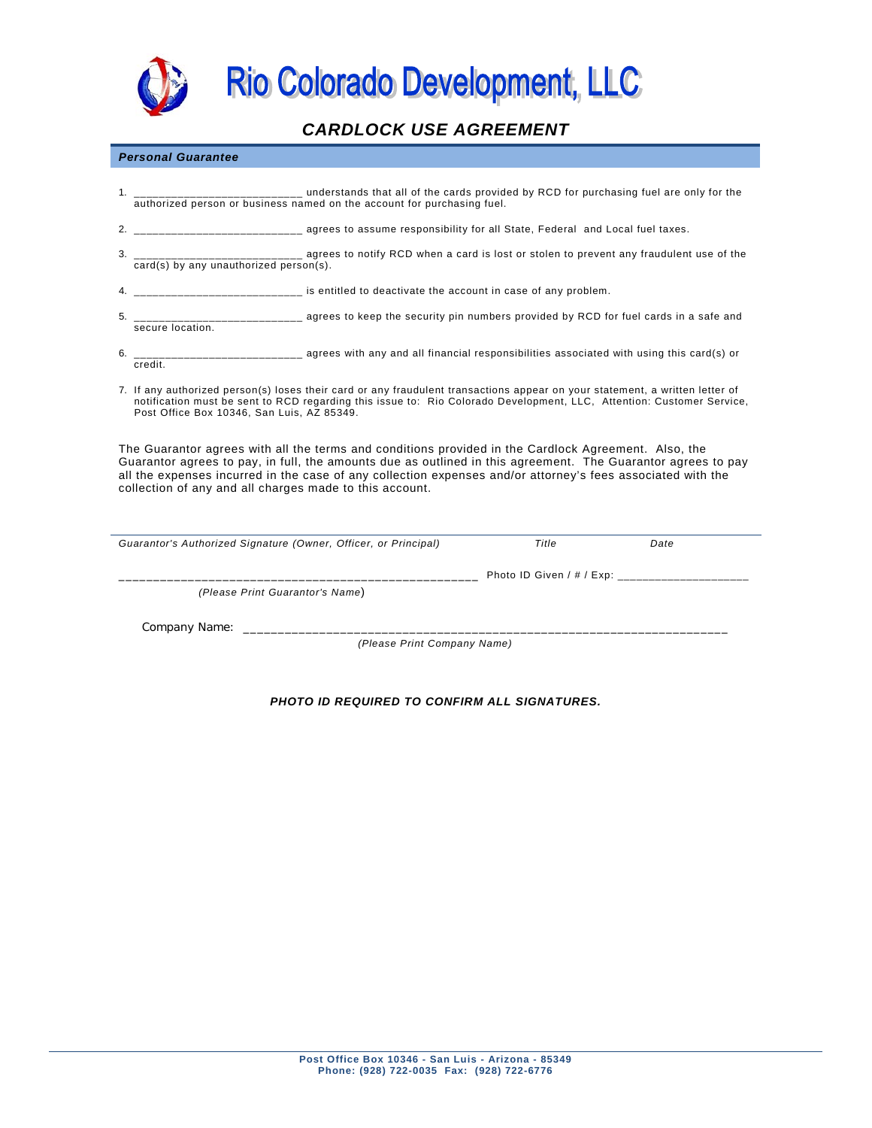

Rio Colorado Development, LLC

## *CARDLOCK USE AGREEMENT*

### *Personal Guarantee*

- 1. **the cards** of the cards provided by RCD for purchasing fuel are only for the authorized person or business named on the account for purchasing fuel.
- 2. \_\_\_\_\_\_\_\_\_\_\_\_\_\_\_\_\_\_\_\_\_\_\_\_\_\_\_ agrees to assume responsibility for all State, Federal and Local fuel taxes.
- 3. \_\_\_\_\_\_\_\_\_\_\_\_\_\_\_\_\_\_\_\_\_\_\_\_\_\_\_ agrees to notify RCD when a card is lost or stolen to prevent any fraudulent use of the card(s) by any unauthorized person(s).
- 4. \_\_\_\_\_\_\_\_\_\_\_\_\_\_\_\_\_\_\_\_\_\_\_\_\_\_\_ is entitled to deactivate the account in case of any problem.
- 5. \_\_\_\_\_\_\_\_\_\_\_\_\_\_\_\_\_\_\_\_\_\_\_\_\_\_\_ agrees to keep the security pin numbers provided by RCD for fuel cards in a safe and secure location.
- $\frac{1}{1}$  agrees with any and all financial responsibilities associated with using this card(s) or 6.  $\frac{1}{\text{credit.}}$
- 7. If any authorized person(s) loses their card or any fraudulent transactions appear on your statement, a written letter of notification must be sent to RCD regarding this issue to: Rio Colorado Development, LLC, Attention: Customer Service, Post Office Box 10346, San Luis, AZ 85349.

The Guarantor agrees with all the terms and conditions provided in the Cardlock Agreement. Also, the Guarantor agrees to pay, in full, the amounts due as outlined in this agreement. The Guarantor agrees to pay all the expenses incurred in the case of any collection expenses and/or attorney's fees associated with the collection of any and all charges made to this account.

| Guarantor's Authorized Signature (Owner, Officer, or Principal) | Title                     | Date |
|-----------------------------------------------------------------|---------------------------|------|
|                                                                 | Photo ID Given / # / Exp: |      |
| (Please Print Guarantor's Name)                                 |                           |      |
| Company Name:<br>(Please Print Company Name)                    |                           |      |

## *PHOTO ID REQUIRED TO CONFIRM ALL SIGNATURES.*